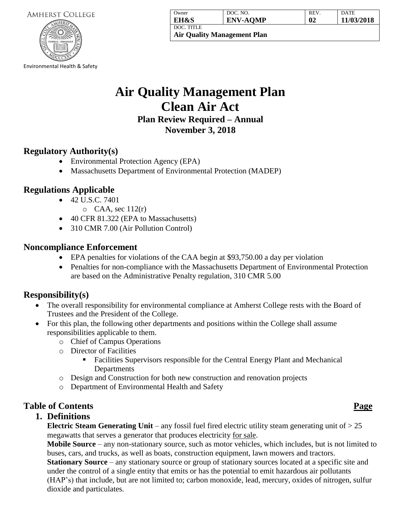| <b>AMHERST COLLEGE</b> |  |
|------------------------|--|
|------------------------|--|



Environmental Health & Safety

| Owner                              | DOC. NO.        | <b>REV</b> | <b>DATE</b> |
|------------------------------------|-----------------|------------|-------------|
| EH&S                               | <b>ENV-AQMP</b> | 02         | 11/03/2018  |
| DOC. TITLE                         |                 |            |             |
| <b>Air Quality Management Plan</b> |                 |            |             |

# **Air Quality Management Plan Clean Air Act Plan Review Required – Annual November 3, 2018**

## **Regulatory Authority(s)**

- Environmental Protection Agency (EPA)
- Massachusetts Department of Environmental Protection (MADEP)

## **Regulations Applicable**

- 42 U.S.C. 7401
	- $O$  CAA, sec 112 $(r)$
- 40 CFR 81.322 (EPA to Massachusetts)
- 310 CMR 7.00 (Air Pollution Control)

### **Noncompliance Enforcement**

- EPA penalties for violations of the CAA begin at \$93,750.00 a day per violation
- Penalties for non-compliance with the Massachusetts Department of Environmental Protection are based on the Administrative Penalty regulation, 310 CMR 5.00

## **Responsibility(s)**

- The overall responsibility for environmental compliance at Amherst College rests with the Board of Trustees and the President of the College.
- For this plan, the following other departments and positions within the College shall assume responsibilities applicable to them.
	- o Chief of Campus Operations
	- o Director of Facilities
		- Facilities Supervisors responsible for the Central Energy Plant and Mechanical **Departments**
	- o Design and Construction for both new construction and renovation projects
	- o Department of Environmental Health and Safety

## **Table of Contents Page**

## **1. Definitions**

**Electric Steam Generating Unit** – any fossil fuel fired electric utility steam generating unit of  $> 25$ megawatts that serves a generator that produces electricity for sale.

**Mobile Source** – any non-stationary source, such as motor vehicles, which includes, but is not limited to buses, cars, and trucks, as well as boats, construction equipment, lawn mowers and tractors.

**Stationary Source** – any stationary source or group of stationary sources located at a specific site and under the control of a single entity that emits or has the potential to emit hazardous air pollutants (HAP's) that include, but are not limited to; carbon monoxide, lead, mercury, oxides of nitrogen, sulfur dioxide and particulates.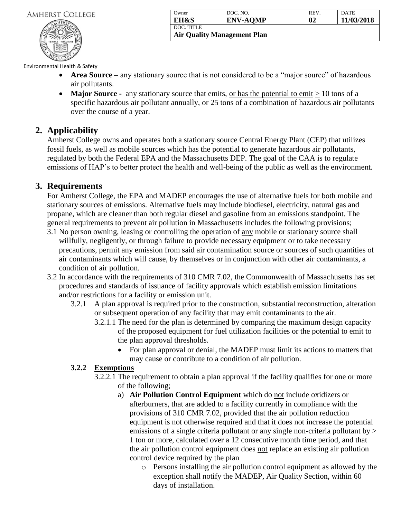#### **AMHERST COLLEGE**



| Owner                              | DOC. NO.        | REV.         | <b>DATE</b> |
|------------------------------------|-----------------|--------------|-------------|
| <b>EH&amp;S</b>                    | <b>ENV-AQMP</b> | $\mathbf{0}$ | 11/03/2018  |
| DOC. TITLE                         |                 |              |             |
| <b>Air Quality Management Plan</b> |                 |              |             |

Environmental Health & Safety

- **Area Source –** any stationary source that is not considered to be a "major source" of hazardous air pollutants.
- **Major Source** any stationary source that emits, or has the potential to emit  $\geq 10$  tons of a specific hazardous air pollutant annually, or 25 tons of a combination of hazardous air pollutants over the course of a year.

## **2. Applicability**

Amherst College owns and operates both a stationary source Central Energy Plant (CEP) that utilizes fossil fuels, as well as mobile sources which has the potential to generate hazardous air pollutants, regulated by both the Federal EPA and the Massachusetts DEP. The goal of the CAA is to regulate emissions of HAP's to better protect the health and well-being of the public as well as the environment.

## **3. Requirements**

For Amherst College, the EPA and MADEP encourages the use of alternative fuels for both mobile and stationary sources of emissions. Alternative fuels may include biodiesel, electricity, natural gas and propane, which are cleaner than both regular diesel and gasoline from an emissions standpoint. The general requirements to prevent air pollution in Massachusetts includes the following provisions;

- 3.1 No person owning, leasing or controlling the operation of any mobile or stationary source shall willfully, negligently, or through failure to provide necessary equipment or to take necessary precautions, permit any emission from said air contamination source or sources of such quantities of air contaminants which will cause, by themselves or in conjunction with other air contaminants, a condition of air pollution.
- 3.2 In accordance with the requirements of 310 CMR 7.02, the Commonwealth of Massachusetts has set procedures and standards of issuance of facility approvals which establish emission limitations and/or restrictions for a facility or emission unit.
	- 3.2.1 A plan approval is required prior to the construction, substantial reconstruction, alteration or subsequent operation of any facility that may emit contaminants to the air.
		- 3.2.1.1 The need for the plan is determined by comparing the maximum design capacity of the proposed equipment for fuel utilization facilities or the potential to emit to the plan approval thresholds.
			- For plan approval or denial, the MADEP must limit its actions to matters that may cause or contribute to a condition of air pollution.

#### **3.2.2 Exemptions**

- 3.2.2.1 The requirement to obtain a plan approval if the facility qualifies for one or more of the following;
	- a) **Air Pollution Control Equipment** which do not include oxidizers or afterburners, that are added to a facility currently in compliance with the provisions of 310 CMR 7.02, provided that the air pollution reduction equipment is not otherwise required and that it does not increase the potential emissions of a single criteria pollutant or any single non-criteria pollutant by > 1 ton or more, calculated over a 12 consecutive month time period, and that the air pollution control equipment does not replace an existing air pollution control device required by the plan
		- o Persons installing the air pollution control equipment as allowed by the exception shall notify the MADEP, Air Quality Section, within 60 days of installation.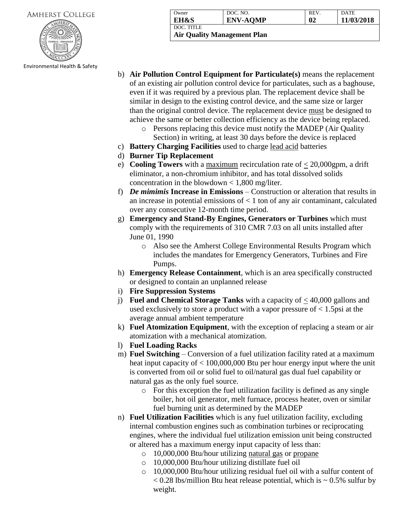| <b>AMHERST COLLEGE</b> |  |
|------------------------|--|
|------------------------|--|



Environmental Health & Safety

| Owner           | DOC. NO.        | <b>REV</b> | <b>DATE</b> |
|-----------------|-----------------|------------|-------------|
| <b>EH&amp;S</b> | <b>ENV-AQMP</b> | 02         | 11/03/2018  |
| DOC. TITLE      |                 |            |             |

**Air Quality Management Plan**

- b) **Air Pollution Control Equipment for Particulate(s)** means the replacement of an existing air pollution control device for particulates, such as a baghouse, even if it was required by a previous plan. The replacement device shall be similar in design to the existing control device, and the same size or larger than the original control device. The replacement device must be designed to achieve the same or better collection efficiency as the device being replaced.
	- o Persons replacing this device must notify the MADEP (Air Quality Section) in writing, at least 30 days before the device is replaced
- c) **Battery Charging Facilities** used to charge lead acid batteries
- d) **Burner Tip Replacement**
- e) **Cooling Towers** with a maximum recirculation rate of  $\leq$  20,000gpm, a drift eliminator, a non-chromium inhibitor, and has total dissolved solids concentration in the blowdown  $\lt$  1,800 mg/liter.
- f) *De mimimis* **Increase in Emissions** Construction or alteration that results in an increase in potential emissions of  $< 1$  ton of any air contaminant, calculated over any consecutive 12-month time period.
- g) **Emergency and Stand-By Engines, Generators or Turbines** which must comply with the requirements of 310 CMR 7.03 on all units installed after June 01, 1990
	- o Also see the Amherst College Environmental Results Program which includes the mandates for Emergency Generators, Turbines and Fire Pumps.
- h) **Emergency Release Containment**, which is an area specifically constructed or designed to contain an unplanned release
- i) **Fire Suppression Systems**
- j) **Fuel and Chemical Storage Tanks** with a capacity of < 40,000 gallons and used exclusively to store a product with a vapor pressure of  $< 1.5$ psi at the average annual ambient temperature
- k) **Fuel Atomization Equipment**, with the exception of replacing a steam or air atomization with a mechanical atomization.
- l) **Fuel Loading Racks**
- m) **Fuel Switching** Conversion of a fuel utilization facility rated at a maximum heat input capacity of < 100,000,000 Btu per hour energy input where the unit is converted from oil or solid fuel to oil/natural gas dual fuel capability or natural gas as the only fuel source.
	- o For this exception the fuel utilization facility is defined as any single boiler, hot oil generator, melt furnace, process heater, oven or similar fuel burning unit as determined by the MADEP
- n) **Fuel Utilization Facilities** which is any fuel utilization facility, excluding internal combustion engines such as combination turbines or reciprocating engines, where the individual fuel utilization emission unit being constructed or altered has a maximum energy input capacity of less than:
	- o 10,000,000 Btu/hour utilizing natural gas or propane
	- o 10,000,000 Btu/hour utilizing distillate fuel oil
	- o 10,000,000 Btu/hour utilizing residual fuel oil with a sulfur content of  $< 0.28$  lbs/million Btu heat release potential, which is  $\sim 0.5\%$  sulfur by weight.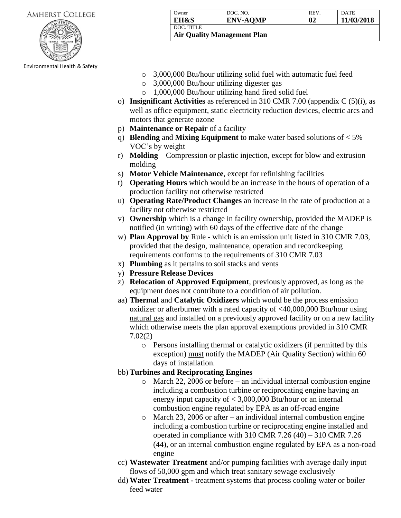#### **AMHERST COLLEGE**



Environmental Health & Safety

| Owner                              | DOC. NO.        | <b>REV</b> | DATE       |
|------------------------------------|-----------------|------------|------------|
| EH&S                               | <b>ENV-AQMP</b> | 02         | 11/03/2018 |
| l doc. title                       |                 |            |            |
| <b>Air Quality Management Plan</b> |                 |            |            |

- o 3,000,000 Btu/hour utilizing solid fuel with automatic fuel feed
- o 3,000,000 Btu/hour utilizing digester gas
- o 1,000,000 Btu/hour utilizing hand fired solid fuel
- o) **Insignificant Activities** as referenced in 310 CMR 7.00 (appendix C (5)(i), as well as office equipment, static electricity reduction devices, electric arcs and motors that generate ozone
- p) **Maintenance or Repair** of a facility
- q) **Blending** and **Mixing Equipment** to make water based solutions of < 5% VOC's by weight
- r) **Molding**  Compression or plastic injection, except for blow and extrusion molding
- s) **Motor Vehicle Maintenance**, except for refinishing facilities
- t) **Operating Hours** which would be an increase in the hours of operation of a production facility not otherwise restricted
- u) **Operating Rate/Product Changes** an increase in the rate of production at a facility not otherwise restricted
- v) **Ownership** which is a change in facility ownership, provided the MADEP is notified (in writing) with 60 days of the effective date of the change
- w) **Plan Approval by** Rule which is an emission unit listed in 310 CMR 7.03, provided that the design, maintenance, operation and recordkeeping requirements conforms to the requirements of 310 CMR 7.03
- x) **Plumbing** as it pertains to soil stacks and vents
- y) **Pressure Release Devices**
- z) **Relocation of Approved Equipment**, previously approved, as long as the equipment does not contribute to a condition of air pollution.
- aa) **Thermal** and **Catalytic Oxidizers** which would be the process emission oxidizer or afterburner with a rated capacity of <40,000,000 Btu/hour using natural gas and installed on a previously approved facility or on a new facility which otherwise meets the plan approval exemptions provided in 310 CMR 7.02(2)
	- o Persons installing thermal or catalytic oxidizers (if permitted by this exception) must notify the MADEP (Air Quality Section) within 60 days of installation.

#### bb) **Turbines and Reciprocating Engines**

- o March 22, 2006 or before an individual internal combustion engine including a combustion turbine or reciprocating engine having an energy input capacity of < 3,000,000 Btu/hour or an internal combustion engine regulated by EPA as an off-road engine
- o March 23, 2006 or after an individual internal combustion engine including a combustion turbine or reciprocating engine installed and operated in compliance with 310 CMR 7.26 (40) – 310 CMR 7.26 (44), or an internal combustion engine regulated by EPA as a non-road engine
- cc) **Wastewater Treatment** and/or pumping facilities with average daily input flows of 50,000 gpm and which treat sanitary sewage exclusively
- dd) **Water Treatment -** treatment systems that process cooling water or boiler feed water